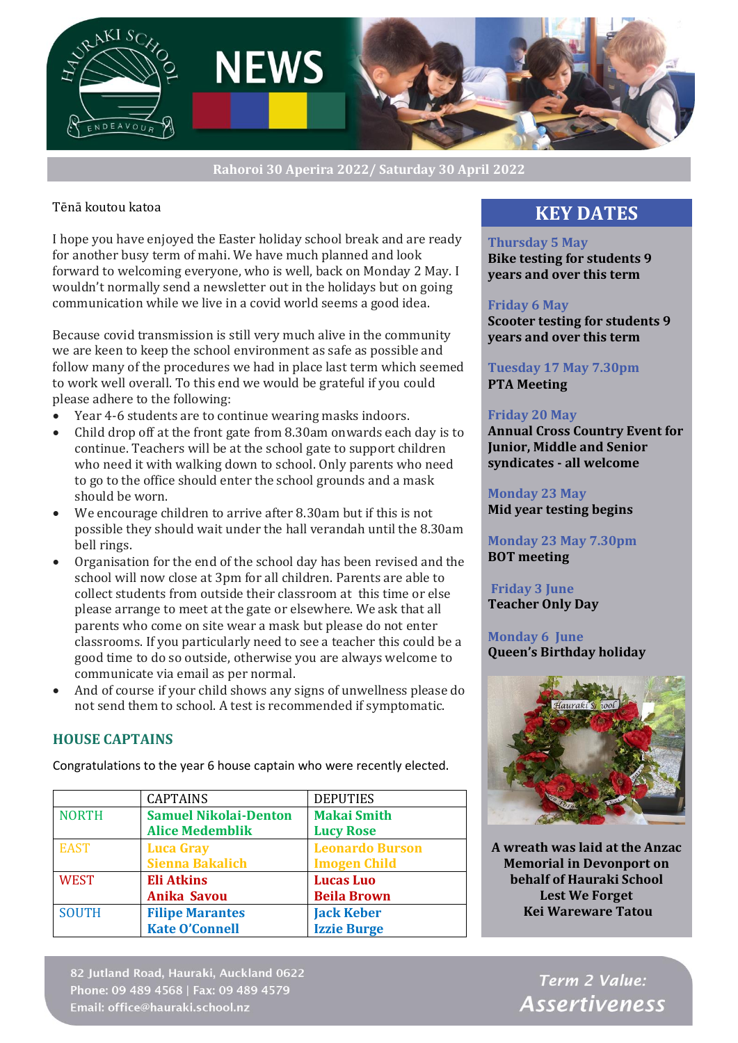

**Rahoroi 30 Aperira 2022/ Saturday 30 April 2022**

## Tēnā koutou katoa

I hope you have enjoyed the Easter holiday school break and are ready for another busy term of mahi. We have much planned and look forward to welcoming everyone, who is well, back on Monday 2 May. I wouldn't normally send a newsletter out in the holidays but on going communication while we live in a covid world seems a good idea.

Because covid transmission is still very much alive in the community we are keen to keep the school environment as safe as possible and follow many of the procedures we had in place last term which seemed to work well overall. To this end we would be grateful if you could please adhere to the following:

- Year 4-6 students are to continue wearing masks indoors.
- Child drop off at the front gate from 8.30am onwards each day is to continue. Teachers will be at the school gate to support children who need it with walking down to school. Only parents who need to go to the office should enter the school grounds and a mask should be worn.
- We encourage children to arrive after 8.30am but if this is not possible they should wait under the hall verandah until the 8.30am bell rings.
- Organisation for the end of the school day has been revised and the school will now close at 3pm for all children. Parents are able to collect students from outside their classroom at this time or else please arrange to meet at the gate or elsewhere. We ask that all parents who come on site wear a mask but please do not enter classrooms. If you particularly need to see a teacher this could be a good time to do so outside, otherwise you are always welcome to communicate via email as per normal.
- And of course if your child shows any signs of unwellness please do not send them to school. A test is recommended if symptomatic.

## **HOUSE CAPTAINS**

Congratulations to the year 6 house captain who were recently elected.

|              | <b>CAPTAINS</b>              | <b>DEPUTIES</b>        |
|--------------|------------------------------|------------------------|
| <b>NORTH</b> | <b>Samuel Nikolai-Denton</b> | <b>Makai Smith</b>     |
|              | <b>Alice Medemblik</b>       | <b>Lucy Rose</b>       |
| <b>EAST</b>  | <b>Luca Gray</b>             | <b>Leonardo Burson</b> |
|              | <b>Sienna Bakalich</b>       | <b>Imogen Child</b>    |
| <b>WEST</b>  | <b>Eli Atkins</b>            | <b>Lucas Luo</b>       |
|              | <b>Anika Savou</b>           | <b>Beila Brown</b>     |
| <b>SOUTH</b> | <b>Filipe Marantes</b>       | <b>Jack Keber</b>      |
|              | <b>Kate O'Connell</b>        | <b>Izzie Burge</b>     |

82 Jutland Road, Hauraki, Auckland 0622 Phone: 09 489 4568 | Fax: 09 489 4579 Email: office@hauraki.school.nz

## **KEY DATES**

#### **Thursday 5 May**

**Bike testing for students 9 years and over this term** 

#### **Friday 6 May**

**Scooter testing for students 9 years and over this term**

#### **Tuesday 17 May 7.30pm PTA Meeting**

#### **Friday 20 May**

**Annual Cross Country Event for Junior, Middle and Senior syndicates - all welcome**

#### **Monday 23 May Mid year testing begins**

**Monday 23 May 7.30pm BOT meeting**

**Friday 3 June Teacher Only Day**

**Monday 6 June Queen's Birthday holiday**



**A wreath was laid at the Anzac Memorial in Devonport on behalf of Hauraki School Lest We Forget Kei Wareware Tatou**

> Term 2 Value: **Assertiveness**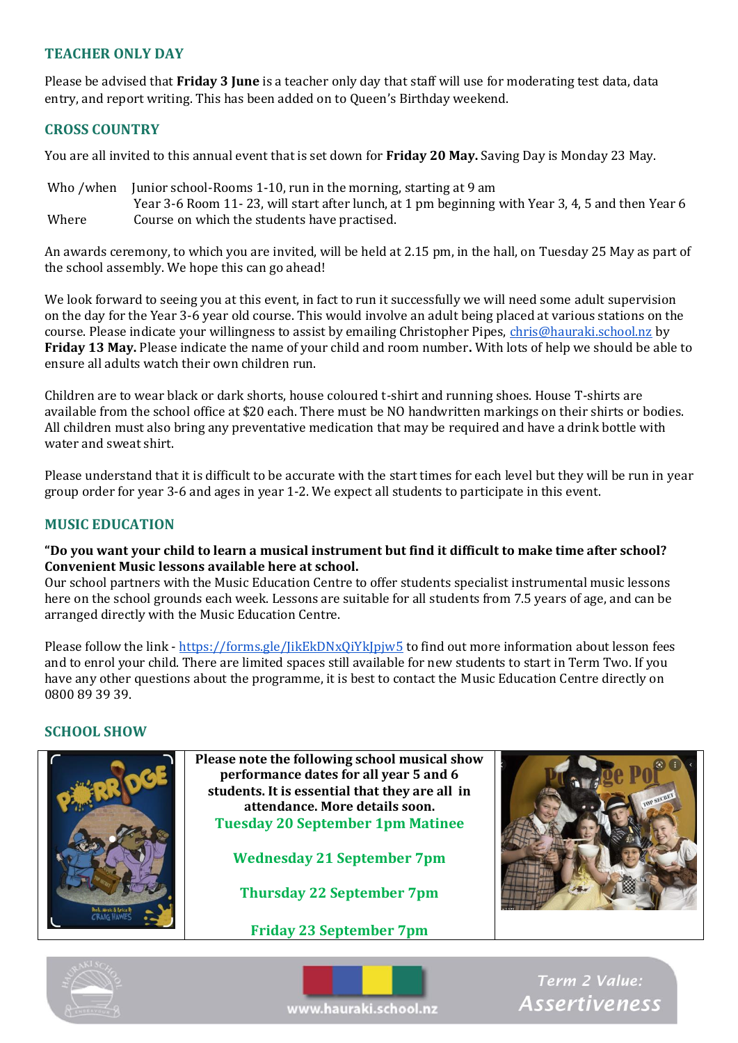## **TEACHER ONLY DAY**

Please be advised that **Friday 3 June** is a teacher only day that staff will use for moderating test data, data entry, and report writing. This has been added on to Queen's Birthday weekend.

## **CROSS COUNTRY**

You are all invited to this annual event that is set down for **Friday 20 May.** Saving Day is Monday 23 May.

Who /when Junior school-Rooms 1-10, run in the morning, starting at 9 am Year 3-6 Room 11- 23, will start after lunch, at 1 pm beginning with Year 3, 4, 5 and then Year 6 Where Course on which the students have practised.

An awards ceremony, to which you are invited, will be held at 2.15 pm, in the hall, on Tuesday 25 May as part of the school assembly. We hope this can go ahead!

We look forward to seeing you at this event, in fact to run it successfully we will need some adult supervision on the day for the Year 3-6 year old course. This would involve an adult being placed at various stations on the course. Please indicate your willingness to assist by emailing Christopher Pipes, [chris@hauraki.school.nz](mailto:chris@hauraki.school.nz) by **Friday 13 May.** Please indicate the name of your child and room number**.** With lots of help we should be able to ensure all adults watch their own children run.

Children are to wear black or dark shorts, house coloured t-shirt and running shoes. House T-shirts are available from the school office at \$20 each. There must be NO handwritten markings on their shirts or bodies. All children must also bring any preventative medication that may be required and have a drink bottle with water and sweat shirt.

Please understand that it is difficult to be accurate with the start times for each level but they will be run in year group order for year 3-6 and ages in year 1-2. We expect all students to participate in this event.

## **MUSIC EDUCATION**

#### **"Do you want your child to learn a musical instrument but find it difficult to make time after school? Convenient Music lessons available here at school.**

Our school partners with the Music Education Centre to offer students specialist instrumental music lessons here on the school grounds each week. Lessons are suitable for all students from 7.5 years of age, and can be arranged directly with the Music Education Centre.

Please follow the link - <https://forms.gle/JikEkDNxQiYkJpjw5> to find out more information about lesson fees and to enrol your child. There are limited spaces still available for new students to start in Term Two. If you have any other questions about the programme, it is best to contact the Music Education Centre directly on 0800 89 39 39.

#### **SCHOOL SHOW**







Term 2 Value: **Assertiveness**